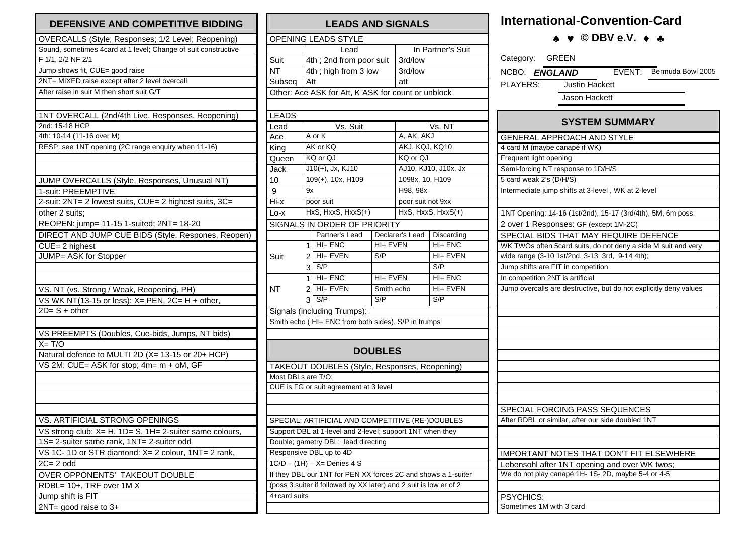| DEFENSIVE AND COMPETITIVE BIDDING                              |
|----------------------------------------------------------------|
| OVERCALLS (Style; Responses; 1/2 Level; Reopening)             |
| Sound, sometimes 4card at 1 level; Change of suit constructive |
| F 1/1, 2/2 NF 2/1                                              |
| Jump shows fit, CUE= good raise                                |
| 2NT= MIXED raise except after 2 level overcall                 |
| After raise in suit M then short suit G/T                      |
|                                                                |
| 1NT OVERCALL (2nd/4th Live, Responses, Reopening)              |
| 2nd: 15-18 HCP                                                 |
| 4th: 10-14 (11-16 over M)                                      |
| RESP: see 1NT opening (2C range enquiry when 11-16)            |
|                                                                |
| JUMP OVERCALLS (Style, Responses, Unusual NT)                  |
| 1-suit: PREEMPTIVE                                             |
| 2-suit: 2NT= 2 lowest suits, CUE= 2 highest suits, 3C=         |
| other 2 suits;                                                 |
| REOPEN: jump= 11-15 1-suited; 2NT= 18-20                       |
| DIRECT AND JUMP CUE BIDS (Style, Respones, Reopen)             |
| $CUE = 2$ highest                                              |
| JUMP= ASK for Stopper                                          |
|                                                                |
| VS. NT (vs. Strong / Weak, Reopening, PH)                      |
| VS WK NT(13-15 or less): X= PEN, 2C= H + other,                |
| $2D = S + other$                                               |
|                                                                |
| VS PREEMPTS (Doubles, Cue-bids, Jumps, NT bids)                |
| $X = T/O$                                                      |
| Natural defence to MULTI 2D (X= 13-15 or 20+ HCP)              |
| VS 2M: CUE= ASK for stop; 4m= m + oM, GF                       |
|                                                                |
|                                                                |
|                                                                |
|                                                                |
| VS. ARTIFICIAL STRONG OPENINGS                                 |
| VS strong club: X= H, 1D= S, 1H= 2-suiter same colours,        |
| 1S= 2-suiter same rank, 1NT= 2-suiter odd                      |
| VS 1C- 1D or STR diamond: X= 2 colour, 1NT= 2 rank,            |
| $2C = 2$ odd                                                   |
| OVER OPPONENTS' TAKEOUT DOUBLE                                 |
| RDBL= 10+, TRF over 1M X                                       |
| Jump shift is FIT                                              |
| $2NT = good raise to 3+$                                       |

| <b>LEADS AND SIGNALS</b>                                      |                             |                                                                   |                |                   |                      |  |  |  |  |  |  |
|---------------------------------------------------------------|-----------------------------|-------------------------------------------------------------------|----------------|-------------------|----------------------|--|--|--|--|--|--|
| OPENING LEADS STYLE                                           |                             |                                                                   |                |                   |                      |  |  |  |  |  |  |
|                                                               |                             | Lead                                                              |                | In Partner's Suit |                      |  |  |  |  |  |  |
| Suit                                                          | 4th ; 2nd from poor suit    |                                                                   |                | 3rd/low           |                      |  |  |  |  |  |  |
| <b>NT</b>                                                     | 4th; high from 3 low        |                                                                   |                | 3rd/low           |                      |  |  |  |  |  |  |
| Subseq                                                        | Att                         |                                                                   |                |                   | att                  |  |  |  |  |  |  |
|                                                               |                             | Other: Ace ASK for Att, K ASK for count or unblock                |                |                   |                      |  |  |  |  |  |  |
|                                                               |                             |                                                                   |                |                   |                      |  |  |  |  |  |  |
| <b>LEADS</b>                                                  |                             |                                                                   |                |                   |                      |  |  |  |  |  |  |
| Lead                                                          | Vs. Suit                    |                                                                   |                | Vs. NT            |                      |  |  |  |  |  |  |
| Ace                                                           | A or K                      |                                                                   |                | A, AK, AKJ        |                      |  |  |  |  |  |  |
| King                                                          | AK or KQ                    |                                                                   |                | AKJ, KQJ, KQ10    |                      |  |  |  |  |  |  |
| Queen                                                         | KQ or QJ                    |                                                                   |                | KQ or QJ          |                      |  |  |  |  |  |  |
| Jac <sub>k</sub>                                              |                             | $J10(+)$ , Jx, KJ10                                               |                |                   | AJ10, KJ10, J10x, Jx |  |  |  |  |  |  |
| 10                                                            |                             | 109(+), 10x, H109                                                 |                | 1098x, 10, H109   |                      |  |  |  |  |  |  |
| 9                                                             | 9x                          |                                                                   |                | H98, 98x          |                      |  |  |  |  |  |  |
| Hi-x                                                          | poor suit                   |                                                                   |                | poor suit not 9xx |                      |  |  |  |  |  |  |
| Lo-x                                                          |                             | HxS, HxxS, HxxS(+)                                                |                |                   | HxS, HxxS, HxxS(+)   |  |  |  |  |  |  |
|                                                               |                             | SIGNALS IN ORDER OF PRIORITY                                      |                |                   |                      |  |  |  |  |  |  |
|                                                               |                             | Partner's Lead                                                    |                | Declarer's Lead   | Discarding           |  |  |  |  |  |  |
|                                                               | 1                           | $H = ENC$                                                         | $H = EVEN$     |                   | $H = ENC$            |  |  |  |  |  |  |
| Suit                                                          |                             | $2$ HI= EVEN                                                      | S/P            |                   | HI= EVEN             |  |  |  |  |  |  |
|                                                               | 3 <sup>1</sup>              | S/P                                                               |                |                   | S/P                  |  |  |  |  |  |  |
|                                                               | 1                           | $H = ENC$                                                         | $H = EVEN$     |                   | $H = ENC$            |  |  |  |  |  |  |
| NT                                                            | 2                           | $H = EVEN$                                                        | Smith echo     |                   | $H = EVEN$           |  |  |  |  |  |  |
|                                                               | 3                           | S/P                                                               | S/P            |                   | S/P                  |  |  |  |  |  |  |
|                                                               | Signals (including Trumps): |                                                                   |                |                   |                      |  |  |  |  |  |  |
|                                                               |                             | Smith echo (HI= ENC from both sides), S/P in trumps               |                |                   |                      |  |  |  |  |  |  |
|                                                               |                             |                                                                   |                |                   |                      |  |  |  |  |  |  |
|                                                               |                             |                                                                   |                |                   |                      |  |  |  |  |  |  |
|                                                               |                             |                                                                   | <b>DOUBLES</b> |                   |                      |  |  |  |  |  |  |
|                                                               |                             | TAKEOUT DOUBLES (Style, Responses, Reopening)                     |                |                   |                      |  |  |  |  |  |  |
| Most DBLs are T/O;                                            |                             |                                                                   |                |                   |                      |  |  |  |  |  |  |
| CUE is FG or suit agreement at 3 level                        |                             |                                                                   |                |                   |                      |  |  |  |  |  |  |
|                                                               |                             |                                                                   |                |                   |                      |  |  |  |  |  |  |
|                                                               |                             |                                                                   |                |                   |                      |  |  |  |  |  |  |
|                                                               |                             | SPECIAL; ARTIFICIAL AND COMPETITIVE (RE-)DOUBLES                  |                |                   |                      |  |  |  |  |  |  |
| Support DBL at 1-level and 2-level; support 1NT when they     |                             |                                                                   |                |                   |                      |  |  |  |  |  |  |
| Double; gametry DBL; lead directing                           |                             |                                                                   |                |                   |                      |  |  |  |  |  |  |
| Responsive DBL up to 4D                                       |                             |                                                                   |                |                   |                      |  |  |  |  |  |  |
| $1C/D - (1H) - X =$ Denies 4 S                                |                             |                                                                   |                |                   |                      |  |  |  |  |  |  |
| If they DBL our 1NT for PEN XX forces 2C and shows a 1-suiter |                             |                                                                   |                |                   |                      |  |  |  |  |  |  |
|                                                               |                             | (poss 3 suiter if followed by XX later) and 2 suit is low er of 2 |                |                   |                      |  |  |  |  |  |  |
| 4+card suits                                                  |                             |                                                                   |                |                   |                      |  |  |  |  |  |  |
|                                                               |                             |                                                                   |                |                   |                      |  |  |  |  |  |  |

## **International-Convention-Card**

♠ ♥ **© DBV e.V.** ♦ ♣

| Category: GREEN                                                   |  |  |  |  |  |  |  |  |  |
|-------------------------------------------------------------------|--|--|--|--|--|--|--|--|--|
| EVENT: Bermuda Bowl 2005<br>NCBO: ENGLAND                         |  |  |  |  |  |  |  |  |  |
| PLAYERS:<br>Justin Hackett                                        |  |  |  |  |  |  |  |  |  |
| Jason Hackett                                                     |  |  |  |  |  |  |  |  |  |
|                                                                   |  |  |  |  |  |  |  |  |  |
| <b>SYSTEM SUMMARY</b>                                             |  |  |  |  |  |  |  |  |  |
| <b>GENERAL APPROACH AND STYLE</b>                                 |  |  |  |  |  |  |  |  |  |
| 4 card M (maybe canapé if WK)                                     |  |  |  |  |  |  |  |  |  |
| Frequent light opening                                            |  |  |  |  |  |  |  |  |  |
| Semi-forcing NT response to 1D/H/S                                |  |  |  |  |  |  |  |  |  |
| 5 card weak 2's (D/H/S)                                           |  |  |  |  |  |  |  |  |  |
| Intermediate jump shifts at 3-level, WK at 2-level                |  |  |  |  |  |  |  |  |  |
|                                                                   |  |  |  |  |  |  |  |  |  |
| 1NT Opening: 14-16 (1st/2nd), 15-17 (3rd/4th), 5M, 6m poss.       |  |  |  |  |  |  |  |  |  |
| 2 over 1 Responses: GF (except 1M-2C)                             |  |  |  |  |  |  |  |  |  |
| SPECIAL BIDS THAT MAY REQUIRE DEFENCE                             |  |  |  |  |  |  |  |  |  |
| WK TWOs often 5card suits, do not deny a side M suit and very     |  |  |  |  |  |  |  |  |  |
| wide range (3-10 1st/2nd, 3-13 3rd, 9-14 4th);                    |  |  |  |  |  |  |  |  |  |
| Jump shifts are FIT in competition                                |  |  |  |  |  |  |  |  |  |
| In competition 2NT is artificial                                  |  |  |  |  |  |  |  |  |  |
| Jump overcalls are destructive, but do not explicitly deny values |  |  |  |  |  |  |  |  |  |
|                                                                   |  |  |  |  |  |  |  |  |  |
|                                                                   |  |  |  |  |  |  |  |  |  |
|                                                                   |  |  |  |  |  |  |  |  |  |
|                                                                   |  |  |  |  |  |  |  |  |  |
|                                                                   |  |  |  |  |  |  |  |  |  |
|                                                                   |  |  |  |  |  |  |  |  |  |
|                                                                   |  |  |  |  |  |  |  |  |  |
|                                                                   |  |  |  |  |  |  |  |  |  |
|                                                                   |  |  |  |  |  |  |  |  |  |
|                                                                   |  |  |  |  |  |  |  |  |  |
| SPECIAL FORCING PASS SEQUENCES                                    |  |  |  |  |  |  |  |  |  |
| After RDBL or similar, after our side doubled 1NT                 |  |  |  |  |  |  |  |  |  |
|                                                                   |  |  |  |  |  |  |  |  |  |
|                                                                   |  |  |  |  |  |  |  |  |  |
| <b>IMPORTANT NOTES THAT DON'T FIT ELSEWHERE</b>                   |  |  |  |  |  |  |  |  |  |
| Lebensohl after 1NT opening and over WK twos;                     |  |  |  |  |  |  |  |  |  |
| We do not play canapé 1H- 1S- 2D, maybe 5-4 or 4-5                |  |  |  |  |  |  |  |  |  |
|                                                                   |  |  |  |  |  |  |  |  |  |
| PSYCHICS:                                                         |  |  |  |  |  |  |  |  |  |
| Sometimes 1M with 3 card                                          |  |  |  |  |  |  |  |  |  |